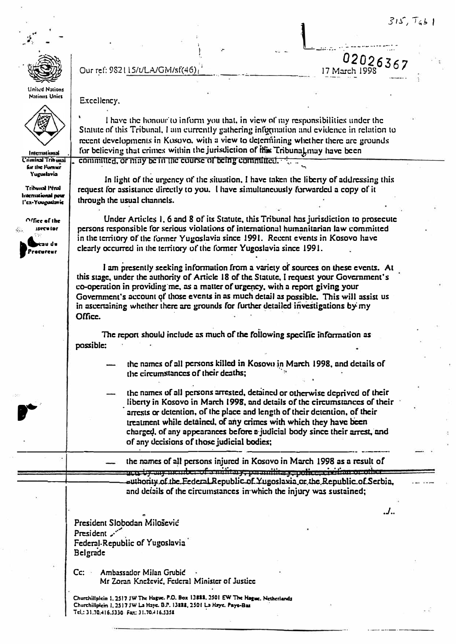02026367

 $\cdot$ .

17 March 1998



Our ref: 982115/t/LA/GM/sf(46)

United Nations **Nations Unics** 



International wdrl' lenimii') for the Fornier Yuguslavia

**Linty Bonudity** wuq lenulumal puw l'ex-Youguslavie

Office of the secutor av de Procureur

Excellency.

I have the honour to inform you that, in view of my responsibilities under the Statute of this Tribunal, I am currently gathering information and evidence in relation to recent developments in Kosovo, with a view to determining whether there are grounds for believing that crimes within the jurisdiction of this Tribunal may have been committed, or may be in the course of being committed.

In light of the urgency of the situation, I have taken the liberty of addressing this request for assistance directly to you. I have simultaneously forwarded a copy of it through the usual channels.

Under Articles 1, 6 and 8 of its Statute, this Tribunal has jurisdiction to prosecute persons responsible for serious violations of international humanitarian law committed in the territory of the former Yugoslavia since 1991. Recent events in Kosovo have clearly occurred in the territory of the former Yugoslavia since 1991.

I am presently seeking information from a variety of sources on these events. At this stage, under the authority of Article 18 of the Statute, I request your Government's co-operation in providing me, as a matter of urgency, with a report giving your Government's account of those events in as much detail as possible. This will assist us in ascertaining whether there are grounds for further detailed investigations by my Office.

The report should include as much of the following specific information as possible:

> the names of all persons killed in Kosovo in March 1998, and details of the circumstances of their deaths;

the names of all persons arrested, detained or otherwise deprived of their liberty in Kosovo in March 1998, and details of the circumstances of their arrests or detention, of the place and length of their detention, of their treatment while detained, of any crimes with which they have been charged, of any appearances before a judicial body since their arrest, and of any decisions of those judicial bodies;

the names of all persons injured in Kosovo in March 1998 as a result of utu by any member of a military, paramilitary, police, crythan or other authority of the Federal Republic of Yugoslavia or the Republic of Serbia. and details of the circumstances in which the injury was sustained:

President Slobodan Milošević President ... Federal-Republic of Yugoslavia Belgrade

Ambassador Milan Grubić  $Cc:$ Mr Zoran Knežević, Federal Minister of Justice

Churchillplein 1, 2517 JW The Hague. P.O. Box 13888, 2501 EW The Hague. Netherlands Churchillplein 1, 2517 JW La Haye. B.P. 13222, 2501 La Haye. Pays-Bas Tel.: 31.70.416.5330 Fax: 31.70.416.5351